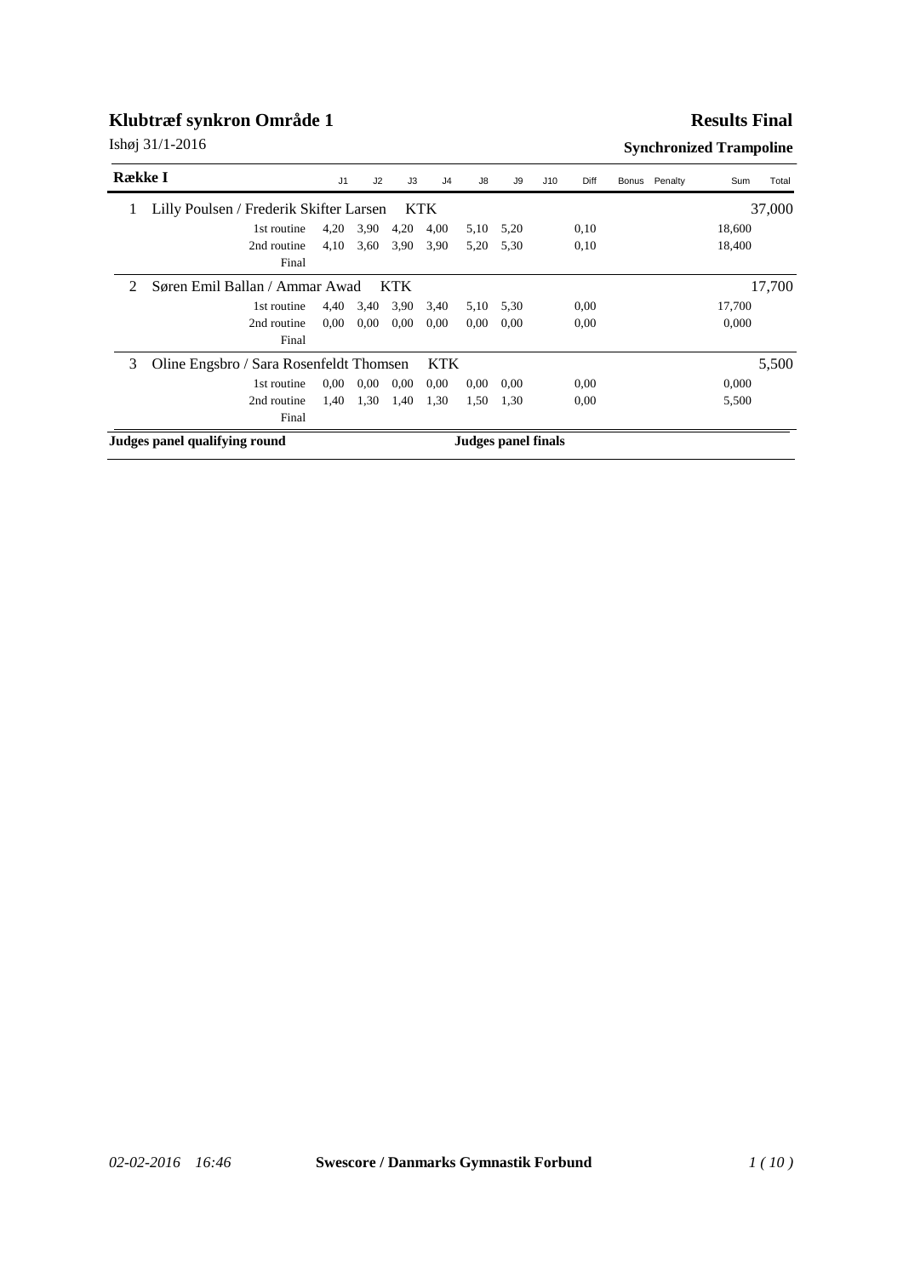#### **Results Final**

| <b>Række I</b> |                                         | J1   | J2       | J3                         | J <sub>4</sub> | J8   | J9   | J10 | Diff | Bonus Penalty | Sum    | Total  |
|----------------|-----------------------------------------|------|----------|----------------------------|----------------|------|------|-----|------|---------------|--------|--------|
|                | Lilly Poulsen / Frederik Skifter Larsen |      |          |                            | <b>KTK</b>     |      |      |     |      |               |        | 37,000 |
|                | 1st routine                             | 4,20 | 3.90     | 4,20                       | 4,00           | 5,10 | 5,20 |     | 0,10 |               | 18,600 |        |
|                | 2nd routine                             | 4,10 | 3,60     | 3.90                       | 3,90           | 5,20 | 5.30 |     | 0,10 |               | 18,400 |        |
|                | Final                                   |      |          |                            |                |      |      |     |      |               |        |        |
| 2              | Søren Emil Ballan / Ammar Awad          |      |          | <b>KTK</b>                 |                |      |      |     |      |               |        | 17,700 |
|                | 1st routine                             | 4,40 | 3,40     | 3,90                       | 3,40           | 5,10 | 5,30 |     | 0,00 |               | 17,700 |        |
|                | 2nd routine                             | 0,00 | 0.00     | 0.00                       | 0,00           | 0.00 | 0.00 |     | 0.00 |               | 0,000  |        |
|                | Final                                   |      |          |                            |                |      |      |     |      |               |        |        |
| 3              | Oline Engsbro / Sara Rosenfeldt Thomsen |      |          |                            | <b>KTK</b>     |      |      |     |      |               |        | 5,500  |
|                | 1st routine                             | 0.00 | $0.00\,$ | $0.00\,$                   | 0.00           | 0.00 | 0.00 |     | 0,00 |               | 0,000  |        |
|                | 2nd routine                             | 1,40 | 1,30     | 1,40                       | 1,30           | 1,50 | 1.30 |     | 0,00 |               | 5,500  |        |
|                | Final                                   |      |          |                            |                |      |      |     |      |               |        |        |
|                | Judges panel qualifying round           |      |          | <b>Judges panel finals</b> |                |      |      |     |      |               |        |        |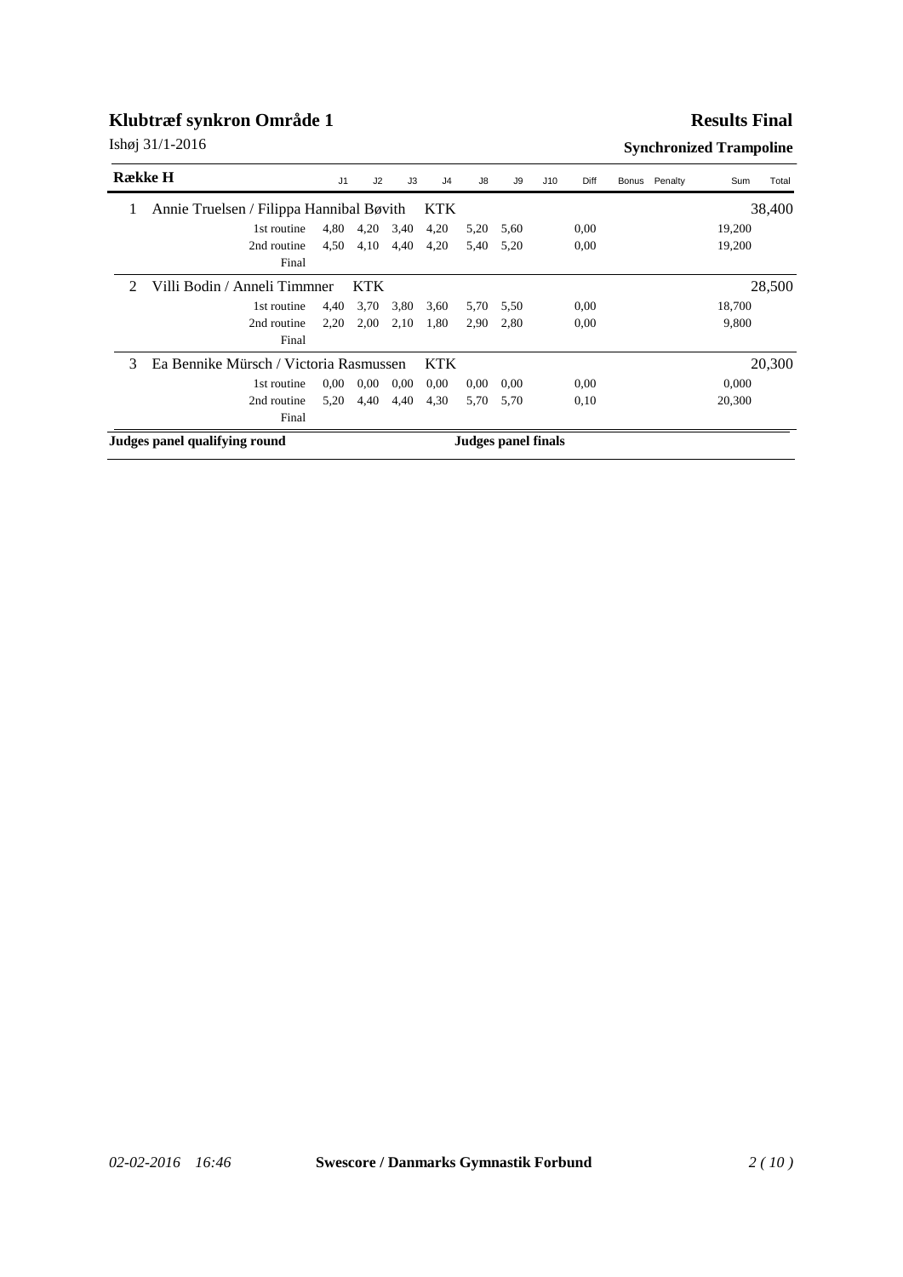### **Results Final**

| <b>R</b> ække H             |                                          | J1   | J2         | J3                  | J <sub>4</sub> | J8   | J9   | J10 | Diff | Bonus Penalty | Sum    | Total  |
|-----------------------------|------------------------------------------|------|------------|---------------------|----------------|------|------|-----|------|---------------|--------|--------|
|                             | Annie Truelsen / Filippa Hannibal Bøvith |      |            |                     | <b>KTK</b>     |      |      |     |      |               |        | 38,400 |
|                             | 1st routine                              | 4,80 | 4,20       | 3,40                | 4,20           | 5,20 | 5,60 |     | 0.00 |               | 19,200 |        |
|                             | 2nd routine                              | 4,50 | 4,10       | 4,40                | 4,20           | 5,40 | 5,20 |     | 0,00 |               | 19,200 |        |
|                             | Final                                    |      |            |                     |                |      |      |     |      |               |        |        |
| $\mathcal{D}_{\mathcal{L}}$ | Villi Bodin / Anneli Timmner             |      | <b>KTK</b> |                     |                |      |      |     |      |               |        | 28,500 |
|                             | 1st routine                              | 4,40 | 3,70       | 3,80                | 3,60           | 5,70 | 5,50 |     | 0,00 |               | 18,700 |        |
|                             | 2nd routine                              | 2,20 | 2,00       | 2,10                | 1,80           | 2,90 | 2.80 |     | 0,00 |               | 9,800  |        |
|                             | Final                                    |      |            |                     |                |      |      |     |      |               |        |        |
| 3                           | Ea Bennike Mürsch / Victoria Rasmussen   |      |            |                     | <b>KTK</b>     |      |      |     |      |               |        | 20,300 |
|                             | 1st routine                              | 0.00 | $0.00\,$   | $0.00\,$            | 0.00           | 0.00 | 0,00 |     | 0.00 |               | 0,000  |        |
|                             | 2nd routine                              | 5,20 | 4,40       | 4,40                | 4,30           | 5,70 | 5.70 |     | 0,10 |               | 20,300 |        |
|                             | Final                                    |      |            |                     |                |      |      |     |      |               |        |        |
|                             | Judges panel qualifying round            |      |            | Judges panel finals |                |      |      |     |      |               |        |        |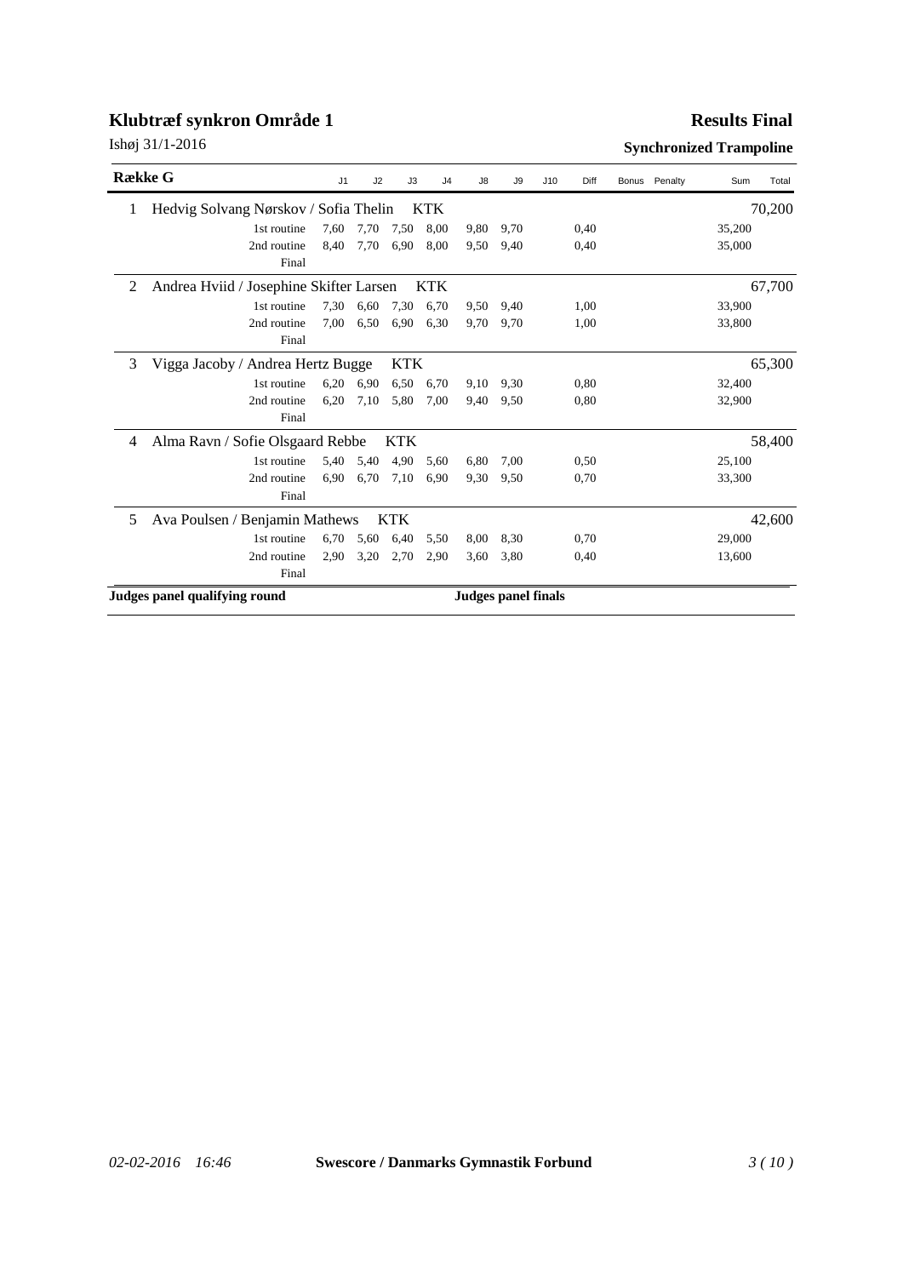### **Results Final**

| <b>Række G</b> |                                         | J1   | J2   | J3         | J <sub>4</sub>             | J8   | J9   | J10 | Diff | Bonus Penalty | Sum    | Total  |
|----------------|-----------------------------------------|------|------|------------|----------------------------|------|------|-----|------|---------------|--------|--------|
| 1              | Hedvig Solvang Nørskov / Sofia Thelin   |      |      |            | <b>KTK</b>                 |      |      |     |      |               |        | 70,200 |
|                | 1st routine                             | 7,60 | 7,70 | 7,50       | 8,00                       | 9,80 | 9,70 |     | 0,40 |               | 35,200 |        |
|                | 2nd routine                             | 8.40 | 7,70 | 6.90       | 8,00                       | 9.50 | 9.40 |     | 0.40 |               | 35,000 |        |
|                | Final                                   |      |      |            |                            |      |      |     |      |               |        |        |
| $\overline{2}$ | Andrea Hviid / Josephine Skifter Larsen |      |      |            | KTK                        |      |      |     |      |               |        | 67,700 |
|                | 1st routine                             | 7,30 | 6,60 | 7,30       | 6,70                       | 9,50 | 9,40 |     | 1,00 |               | 33,900 |        |
|                | 2nd routine                             | 7,00 | 6,50 | 6.90       | 6,30                       | 9,70 | 9,70 |     | 1,00 |               | 33,800 |        |
|                | Final                                   |      |      |            |                            |      |      |     |      |               |        |        |
| 3              | Vigga Jacoby / Andrea Hertz Bugge       |      |      | <b>KTK</b> |                            |      |      |     |      |               |        | 65,300 |
|                | 1st routine                             | 6.20 | 6.90 | 6,50       | 6.70                       | 9,10 | 9.30 |     | 0.80 |               | 32,400 |        |
|                | 2nd routine                             | 6,20 | 7,10 | 5,80       | 7,00                       | 9.40 | 9,50 |     | 0,80 |               | 32,900 |        |
|                | Final                                   |      |      |            |                            |      |      |     |      |               |        |        |
| 4              | Alma Ravn / Sofie Olsgaard Rebbe        |      |      | <b>KTK</b> |                            |      |      |     |      |               |        | 58,400 |
|                | 1st routine                             | 5,40 | 5,40 | 4,90       | 5,60                       | 6,80 | 7,00 |     | 0.50 |               | 25,100 |        |
|                | 2nd routine                             | 6,90 | 6,70 | 7,10       | 6,90                       | 9.30 | 9.50 |     | 0,70 |               | 33,300 |        |
|                | Final                                   |      |      |            |                            |      |      |     |      |               |        |        |
| 5              | Ava Poulsen / Benjamin Mathews          |      |      | <b>KTK</b> |                            |      |      |     |      |               |        | 42,600 |
|                | 1st routine                             | 6,70 | 5,60 | 6,40       | 5,50                       | 8,00 | 8,30 |     | 0,70 |               | 29,000 |        |
|                | 2nd routine                             | 2,90 | 3,20 | 2,70       | 2,90                       | 3,60 | 3,80 |     | 0,40 |               | 13,600 |        |
|                | Final                                   |      |      |            |                            |      |      |     |      |               |        |        |
|                | Judges panel qualifying round           |      |      |            | <b>Judges panel finals</b> |      |      |     |      |               |        |        |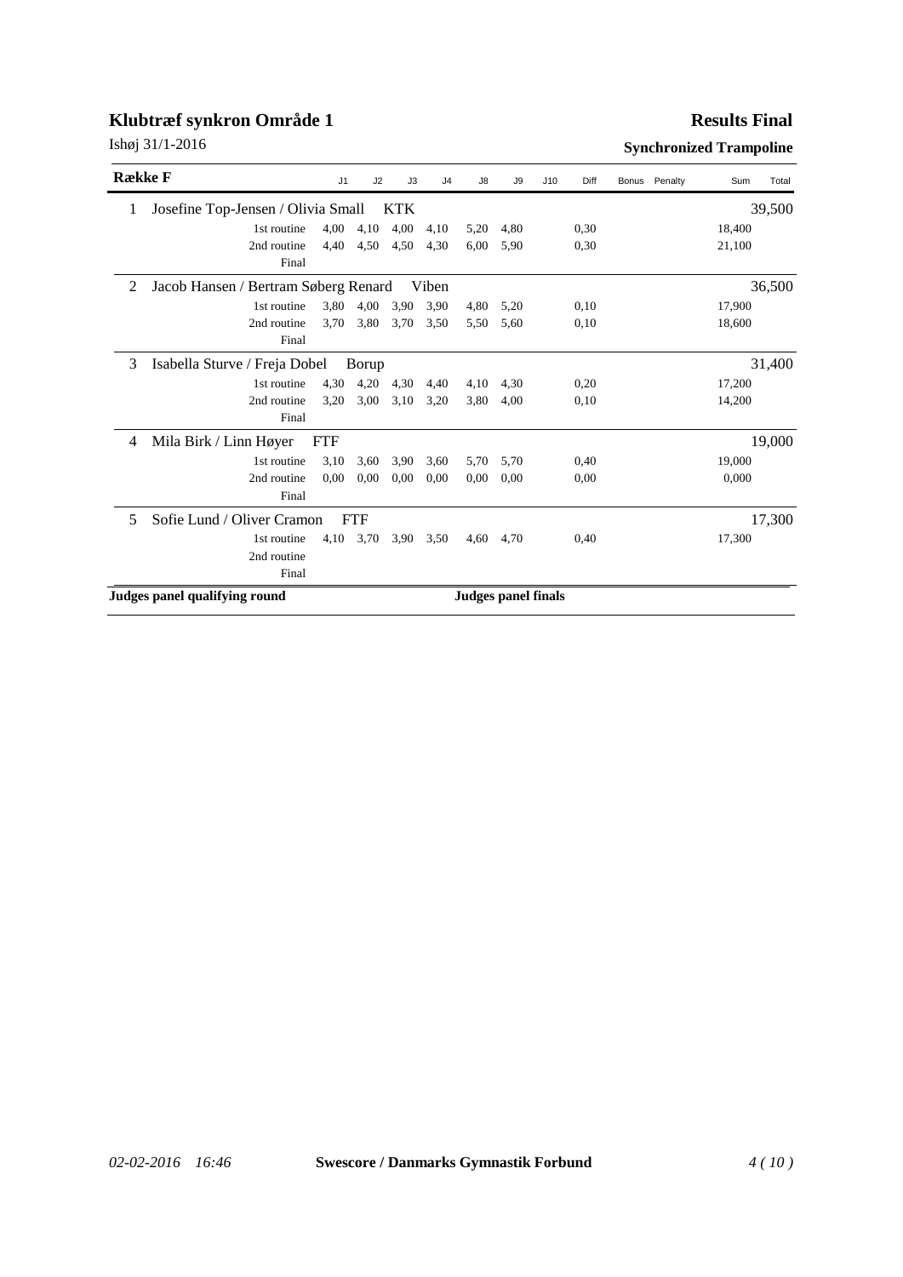### **Results Final**

| <b>Række F</b> |                                      | J1         | J2         | J3         | J <sub>4</sub> | J8                         | J9   | J10 | Diff | Bonus | Penalty | Sum    | Total  |
|----------------|--------------------------------------|------------|------------|------------|----------------|----------------------------|------|-----|------|-------|---------|--------|--------|
|                | Josefine Top-Jensen / Olivia Small   |            |            | <b>KTK</b> |                |                            |      |     |      |       |         |        | 39,500 |
|                | 1st routine                          | 4,00       | 4,10       | 4,00       | 4,10           | 5,20                       | 4,80 |     | 0,30 |       |         | 18,400 |        |
|                | 2nd routine<br>Final                 | 4,40       | 4,50       | 4,50       | 4.30           | 6,00                       | 5.90 |     | 0,30 |       |         | 21,100 |        |
| $\mathfrak{D}$ | Jacob Hansen / Bertram Søberg Renard |            |            |            | Viben          |                            |      |     |      |       |         |        | 36,500 |
|                | 1st routine                          | 3,80       | 4,00       | 3,90       | 3,90           | 4,80                       | 5,20 |     | 0,10 |       |         | 17,900 |        |
|                | 2nd routine<br>Final                 | 3,70       | 3,80       | 3,70       | 3,50           | 5,50                       | 5,60 |     | 0,10 |       |         | 18,600 |        |
| 3              | Isabella Sturve / Freja Dobel        |            | Borup      |            |                |                            |      |     |      |       |         |        | 31,400 |
|                | 1st routine                          | 4,30       | 4,20       | 4,30       | 4,40           | 4,10                       | 4,30 |     | 0,20 |       |         | 17,200 |        |
|                | 2nd routine                          | 3,20       | 3,00       | 3,10       | 3,20           | 3,80                       | 4,00 |     | 0,10 |       |         | 14,200 |        |
|                | Final                                |            |            |            |                |                            |      |     |      |       |         |        |        |
| 4              | Mila Birk / Linn Høyer               | <b>FTF</b> |            |            |                |                            |      |     |      |       |         |        | 19,000 |
|                | 1st routine                          | 3,10       | 3,60       | 3,90       | 3,60           | 5,70                       | 5,70 |     | 0,40 |       |         | 19,000 |        |
|                | 2nd routine<br>Final                 | 0.00       | 0.00       | 0.00       | 0.00           | 0.00                       | 0.00 |     | 0.00 |       |         | 0.000  |        |
| 5              | Sofie Lund / Oliver Cramon           |            | <b>FTF</b> |            |                |                            |      |     |      |       |         |        | 17,300 |
|                | 1st routine                          | 4,10       | 3,70       | 3.90       | 3,50           | 4,60                       | 4,70 |     | 0,40 |       |         | 17,300 |        |
|                | 2nd routine                          |            |            |            |                |                            |      |     |      |       |         |        |        |
|                | Final                                |            |            |            |                |                            |      |     |      |       |         |        |        |
|                | Judges panel qualifying round        |            |            |            |                | <b>Judges panel finals</b> |      |     |      |       |         |        |        |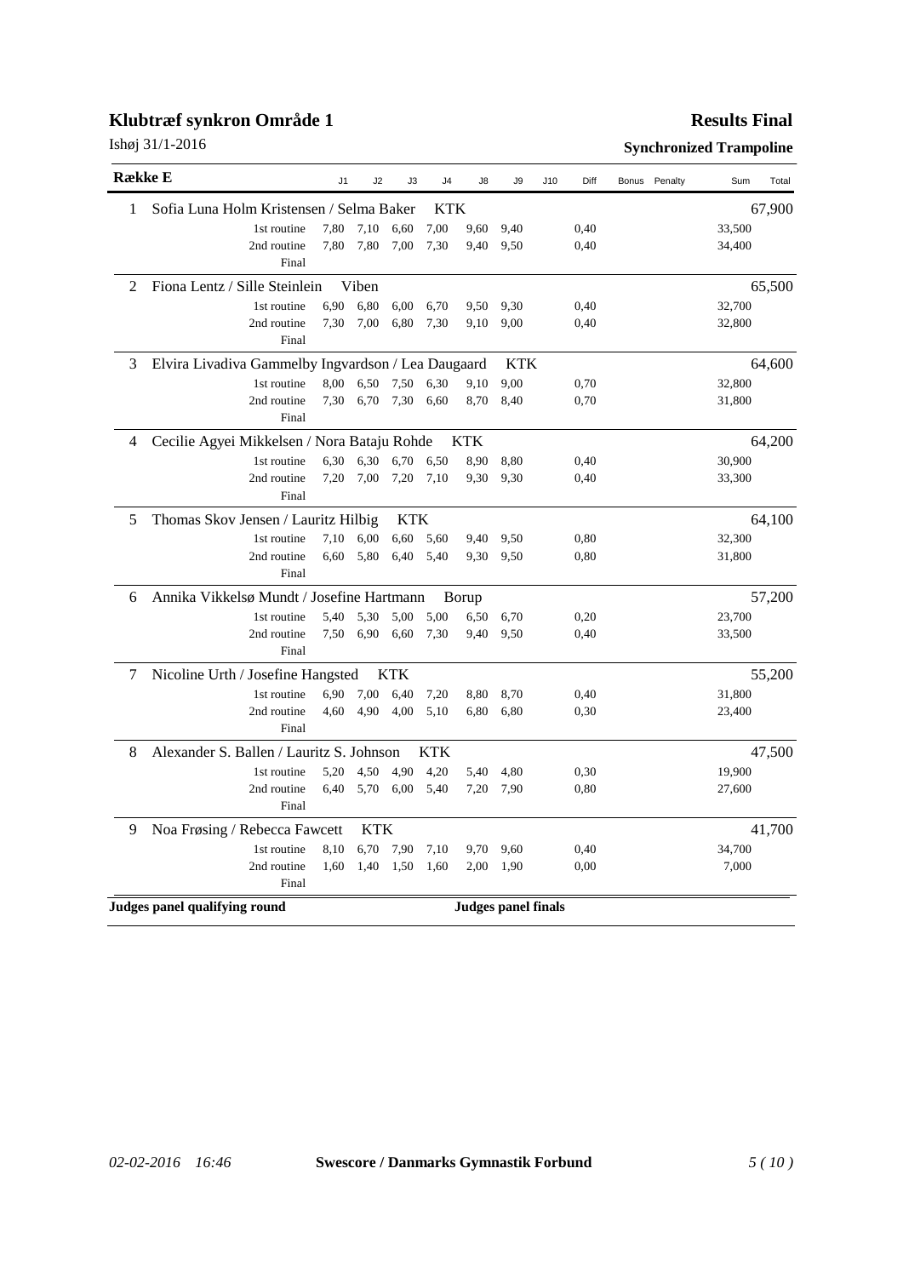|  |  | Ishøj 31/1-2016 |
|--|--|-----------------|
|--|--|-----------------|

### **Results Final**

| <b>Række E</b>                                          | J <sub>1</sub> | J2         | J3         | J4         | J8    | J <sub>9</sub>      | J10 | Diff | Bonus Penalty | Sum    | Total  |
|---------------------------------------------------------|----------------|------------|------------|------------|-------|---------------------|-----|------|---------------|--------|--------|
| Sofia Luna Holm Kristensen / Selma Baker<br>1           |                |            |            | KTK        |       |                     |     |      |               |        | 67,900 |
| 1st routine                                             | 7,80           | 7,10       | 6,60       | 7,00       | 9,60  | 9,40                |     | 0,40 |               | 33,500 |        |
| 2nd routine<br>Final                                    | 7,80           | 7,80       | 7,00       | 7,30       | 9,40  | 9,50                |     | 0,40 |               | 34,400 |        |
| Fiona Lentz / Sille Steinlein<br>2                      |                | Viben      |            |            |       |                     |     |      |               |        | 65,500 |
| 1st routine                                             | 6,90           | 6,80       | 6,00       | 6,70       | 9,50  | 9,30                |     | 0,40 |               | 32,700 |        |
| 2nd routine<br>Final                                    | 7,30           | 7,00       | 6,80       | 7,30       | 9,10  | 9,00                |     | 0,40 |               | 32,800 |        |
| Elvira Livadiva Gammelby Ingvardson / Lea Daugaard<br>3 |                |            |            |            |       | <b>KTK</b>          |     |      |               |        | 64,600 |
| 1st routine                                             | 8,00           | 6,50       | 7,50       | 6,30       | 9,10  | 9,00                |     | 0,70 |               | 32,800 |        |
| 2nd routine<br>Final                                    | 7,30           | 6,70       | 7,30       | 6,60       | 8,70  | 8,40                |     | 0,70 |               | 31,800 |        |
| Cecilie Agyei Mikkelsen / Nora Bataju Rohde<br>4        |                |            |            |            | KTK   |                     |     |      |               |        | 64,200 |
| 1st routine                                             | 6,30           | 6,30       | 6,70       | 6,50       | 8,90  | 8,80                |     | 0,40 |               | 30,900 |        |
| 2nd routine<br>Final                                    | 7,20           | 7,00       | 7,20       | 7,10       | 9,30  | 9,30                |     | 0,40 |               | 33,300 |        |
| Thomas Skov Jensen / Lauritz Hilbig<br>5                |                |            | KTK        |            |       |                     |     |      |               |        | 64,100 |
| 1st routine                                             | 7,10           | 6,00       | 6,60       | 5.60       | 9,40  | 9,50                |     | 0,80 |               | 32,300 |        |
| 2nd routine<br>Final                                    | 6.60           | 5,80       | 6,40       | 5,40       | 9,30  | 9,50                |     | 0,80 |               | 31,800 |        |
| Annika Vikkelsø Mundt / Josefine Hartmann<br>6          |                |            |            |            | Borup |                     |     |      |               |        | 57,200 |
| 1st routine                                             | 5,40           | 5,30       | 5,00       | 5,00       | 6,50  | 6,70                |     | 0,20 |               | 23,700 |        |
| 2nd routine<br>Final                                    | 7,50           | 6,90       | 6,60       | 7,30       | 9,40  | 9,50                |     | 0,40 |               | 33,500 |        |
| 7<br>Nicoline Urth / Josefine Hangsted                  |                |            | <b>KTK</b> |            |       |                     |     |      |               |        | 55,200 |
| 1st routine                                             | 6,90           | 7,00       | 6,40       | 7,20       | 8,80  | 8,70                |     | 0,40 |               | 31,800 |        |
| 2nd routine<br>Final                                    | 4,60           | 4,90       | 4,00       | 5,10       | 6,80  | 6,80                |     | 0,30 |               | 23,400 |        |
| Alexander S. Ballen / Lauritz S. Johnson<br>8           |                |            |            | <b>KTK</b> |       |                     |     |      |               |        | 47,500 |
| 1st routine                                             | 5,20           | 4,50       | 4,90       | 4,20       | 5,40  | 4,80                |     | 0,30 |               | 19,900 |        |
| 2nd routine<br>Final                                    | 6,40           | 5,70       | 6,00       | 5,40       | 7,20  | 7,90                |     | 0,80 |               | 27,600 |        |
| Noa Frøsing / Rebecca Fawcett<br>9                      |                | <b>KTK</b> |            |            |       |                     |     |      |               |        | 41,700 |
| 1st routine                                             | 8,10           | 6,70       | 7,90       | 7,10       | 9,70  | 9,60                |     | 0,40 |               | 34,700 |        |
| 2nd routine<br>Final                                    | 1,60           | 1,40       | 1,50       | 1,60       | 2,00  | 1,90                |     | 0,00 |               | 7,000  |        |
| Judges panel qualifying round                           |                |            |            |            |       | Judges panel finals |     |      |               |        |        |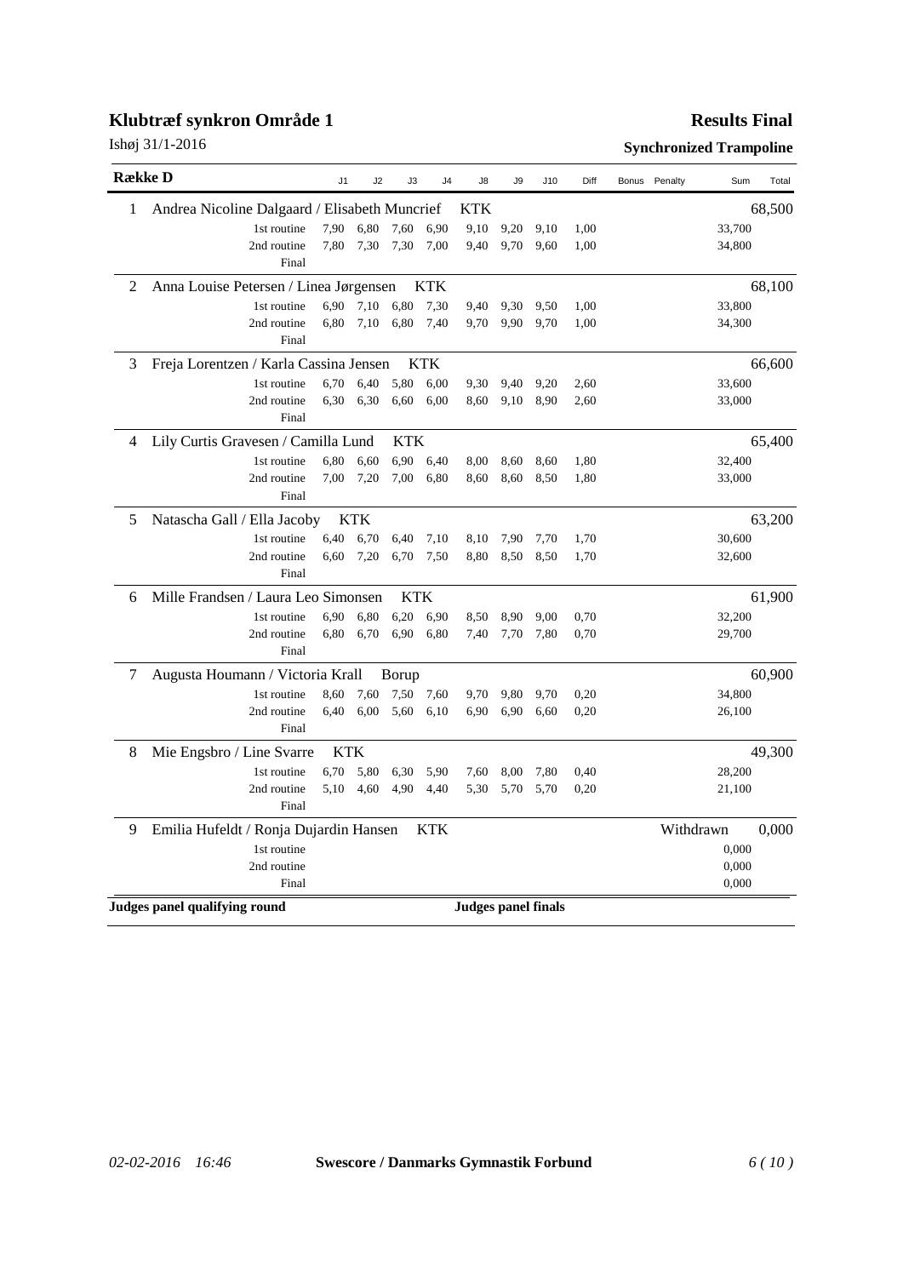#### **Results Final**

| <b>Række D</b> |                                               | J1   | J2         | J3         | J <sub>4</sub> | J8                         | J9   | J10  | Diff | Bonus | Penalty   | Sum    | Total  |
|----------------|-----------------------------------------------|------|------------|------------|----------------|----------------------------|------|------|------|-------|-----------|--------|--------|
| 1              | Andrea Nicoline Dalgaard / Elisabeth Muncrief |      |            |            |                | KTK                        |      |      |      |       |           |        | 68,500 |
|                | 1st routine                                   | 7,90 | 6,80       | 7,60       | 6,90           | 9,10                       | 9,20 | 9,10 | 1,00 |       |           | 33,700 |        |
|                | 2nd routine                                   | 7,80 | 7,30       | 7,30       | 7,00           | 9,40                       | 9,70 | 9,60 | 1,00 |       |           | 34,800 |        |
|                | Final                                         |      |            |            |                |                            |      |      |      |       |           |        |        |
| 2              | Anna Louise Petersen / Linea Jørgensen        |      |            |            | <b>KTK</b>     |                            |      |      |      |       |           |        | 68,100 |
|                | 1st routine                                   | 6,90 | 7,10       | 6,80       | 7,30           | 9,40                       | 9,30 | 9,50 | 1,00 |       |           | 33,800 |        |
|                | 2nd routine                                   | 6,80 | 7,10       | 6,80       | 7,40           | 9,70                       | 9,90 | 9,70 | 1,00 |       |           | 34,300 |        |
|                | Final                                         |      |            |            |                |                            |      |      |      |       |           |        |        |
| 3              | Freja Lorentzen / Karla Cassina Jensen        |      |            |            | <b>KTK</b>     |                            |      |      |      |       |           |        | 66,600 |
|                | 1st routine                                   | 6,70 | 6.40       | 5,80       | 6.00           | 9.30                       | 9,40 | 9,20 | 2,60 |       |           | 33,600 |        |
|                | 2nd routine                                   | 6,30 | 6,30       | 6.60       | 6.00           | 8,60                       | 9,10 | 8,90 | 2,60 |       |           | 33,000 |        |
|                | Final                                         |      |            |            |                |                            |      |      |      |       |           |        |        |
| 4              | Lily Curtis Gravesen / Camilla Lund           |      |            | <b>KTK</b> |                |                            |      |      |      |       |           |        | 65,400 |
|                | 1st routine                                   | 6,80 | 6,60       | 6,90       | 6.40           | 8,00                       | 8.60 | 8,60 | 1,80 |       |           | 32,400 |        |
|                | 2nd routine                                   | 7,00 | 7,20       | 7,00       | 6,80           | 8,60                       | 8,60 | 8,50 | 1,80 |       |           | 33,000 |        |
|                | Final                                         |      |            |            |                |                            |      |      |      |       |           |        |        |
| 5              | Natascha Gall / Ella Jacoby                   |      | <b>KTK</b> |            |                |                            |      |      |      |       |           |        | 63,200 |
|                | 1st routine                                   | 6,40 | 6,70       | 6,40       | 7,10           | 8,10                       | 7,90 | 7,70 | 1,70 |       |           | 30,600 |        |
|                | 2nd routine                                   | 6,60 | 7,20       | 6,70       | 7,50           | 8.80                       | 8,50 | 8,50 | 1,70 |       |           | 32,600 |        |
|                | Final                                         |      |            |            |                |                            |      |      |      |       |           |        |        |
| 6              | Mille Frandsen / Laura Leo Simonsen           |      |            | <b>KTK</b> |                |                            |      |      |      |       |           |        | 61,900 |
|                | 1st routine                                   | 6,90 | 6,80       | 6,20       | 6,90           | 8,50                       | 8.90 | 9,00 | 0,70 |       |           | 32,200 |        |
|                | 2nd routine                                   | 6,80 | 6,70       | 6,90       | 6,80           | 7,40                       | 7,70 | 7,80 | 0,70 |       |           | 29,700 |        |
|                | Final                                         |      |            |            |                |                            |      |      |      |       |           |        |        |
| 7              | Augusta Houmann / Victoria Krall              |      |            | Borup      |                |                            |      |      |      |       |           |        | 60,900 |
|                | 1st routine                                   | 8,60 | 7,60       | 7,50       | 7,60           | 9,70                       | 9,80 | 9,70 | 0,20 |       |           | 34,800 |        |
|                | 2nd routine                                   | 6,40 | 6,00       | 5,60       | 6,10           | 6,90                       | 6,90 | 6,60 | 0,20 |       |           | 26,100 |        |
|                | Final                                         |      |            |            |                |                            |      |      |      |       |           |        |        |
| 8              | Mie Engsbro / Line Svarre                     | KTK  |            |            |                |                            |      |      |      |       |           |        | 49,300 |
|                | 1st routine                                   | 6,70 | 5.80       | 6,30       | 5,90           | 7,60                       | 8,00 | 7,80 | 0,40 |       |           | 28,200 |        |
|                | 2nd routine                                   | 5,10 | 4,60       | 4,90       | 4,40           | 5,30                       | 5,70 | 5,70 | 0,20 |       |           | 21,100 |        |
|                | Final                                         |      |            |            |                |                            |      |      |      |       |           |        |        |
| 9              | Emilia Hufeldt / Ronja Dujardin Hansen        |      |            |            | KTK            |                            |      |      |      |       | Withdrawn |        | 0,000  |
|                | 1st routine                                   |      |            |            |                |                            |      |      |      |       |           | 0,000  |        |
|                | 2nd routine                                   |      |            |            |                |                            |      |      |      |       |           | 0,000  |        |
|                | Final                                         |      |            |            |                |                            |      |      |      |       |           | 0,000  |        |
|                | Judges panel qualifying round                 |      |            |            |                | <b>Judges panel finals</b> |      |      |      |       |           |        |        |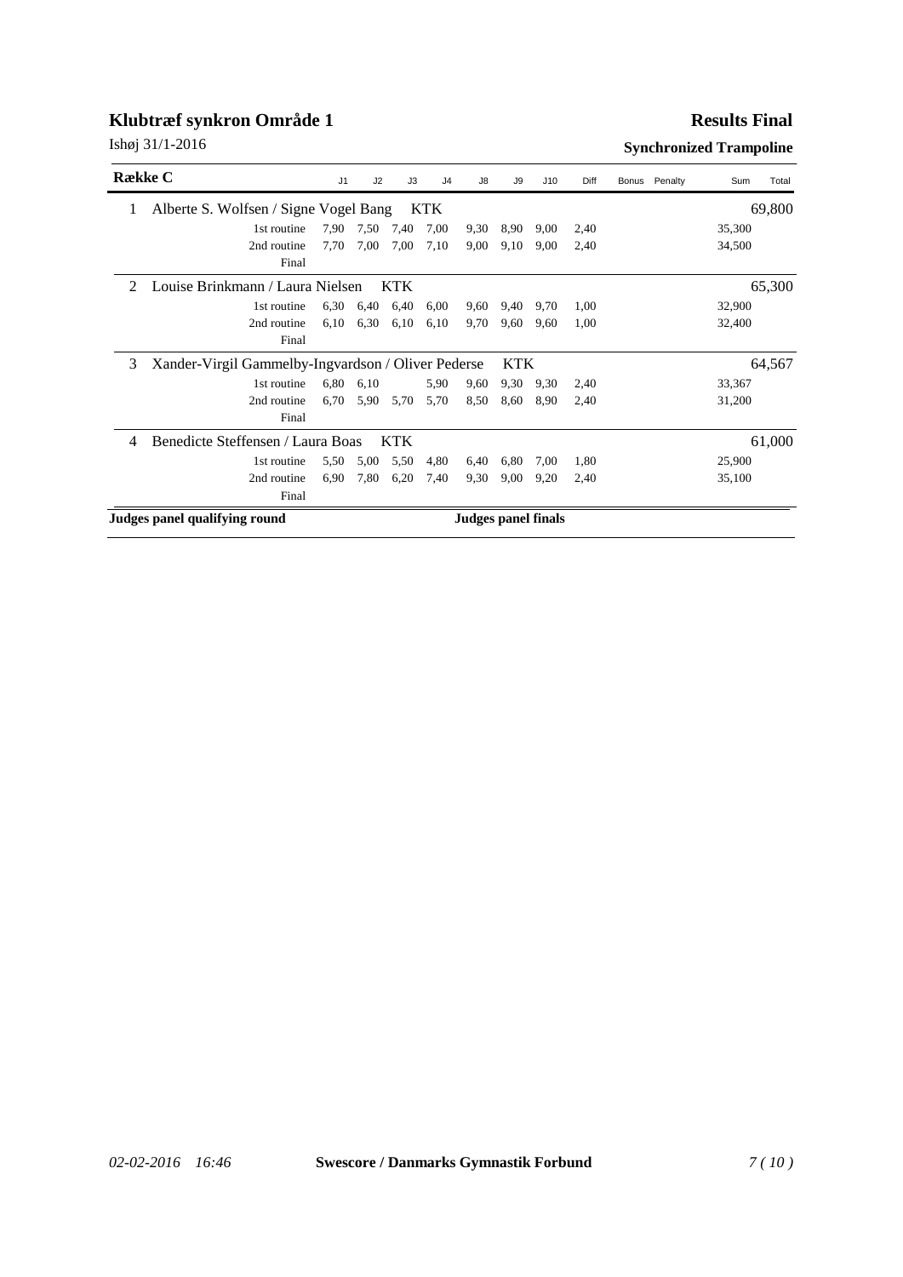#### **Results Final**

| Række C        |                                                    | J <sub>1</sub> | J2   | J3                         | J <sub>4</sub> | J8   | J9         | J10  | Diff | Bonus Penalty | Sum    | Total  |
|----------------|----------------------------------------------------|----------------|------|----------------------------|----------------|------|------------|------|------|---------------|--------|--------|
| 1              | Alberte S. Wolfsen / Signe Vogel Bang              |                |      |                            | <b>KTK</b>     |      |            |      |      |               |        | 69,800 |
|                | 1st routine                                        | 7,90           | 7,50 | 7,40                       | 7,00           | 9,30 | 8,90       | 9,00 | 2,40 |               | 35,300 |        |
|                | 2nd routine                                        | 7,70           | 7,00 | 7,00                       | 7,10           | 9,00 | 9,10       | 9,00 | 2.40 |               | 34,500 |        |
|                | Final                                              |                |      |                            |                |      |            |      |      |               |        |        |
| $\mathfrak{D}$ | Louise Brinkmann / Laura Nielsen                   |                |      | <b>KTK</b>                 |                |      |            |      |      |               |        | 65,300 |
|                | 1st routine                                        | 6,30           | 6,40 | 6,40                       | 6,00           | 9,60 | 9,40       | 9,70 | 1,00 |               | 32,900 |        |
|                | 2nd routine                                        | 6,10           | 6.30 | 6,10                       | 6,10           | 9,70 | 9,60       | 9,60 | 1.00 |               | 32,400 |        |
|                | Final                                              |                |      |                            |                |      |            |      |      |               |        |        |
| 3              | Xander-Virgil Gammelby-Ingvardson / Oliver Pederse |                |      |                            |                |      | <b>KTK</b> |      |      |               |        | 64,567 |
|                | 1st routine                                        | 6,80           | 6,10 |                            | 5,90           | 9,60 | 9.30       | 9,30 | 2,40 |               | 33,367 |        |
|                | 2nd routine                                        | 6,70           | 5,90 | 5,70                       | 5,70           | 8.50 | 8,60       | 8.90 | 2.40 |               | 31,200 |        |
|                | Final                                              |                |      |                            |                |      |            |      |      |               |        |        |
| 4              | Benedicte Steffensen / Laura Boas                  |                |      | <b>KTK</b>                 |                |      |            |      |      |               |        | 61,000 |
|                | 1st routine                                        | 5,50           | 5,00 | 5,50                       | 4,80           | 6,40 | 6,80       | 7,00 | 1.80 |               | 25,900 |        |
|                | 2nd routine                                        | 6,90           | 7,80 | 6,20                       | 7,40           | 9.30 | 9,00       | 9,20 | 2.40 |               | 35,100 |        |
|                | Final                                              |                |      |                            |                |      |            |      |      |               |        |        |
|                | Judges panel qualifying round                      |                |      | <b>Judges panel finals</b> |                |      |            |      |      |               |        |        |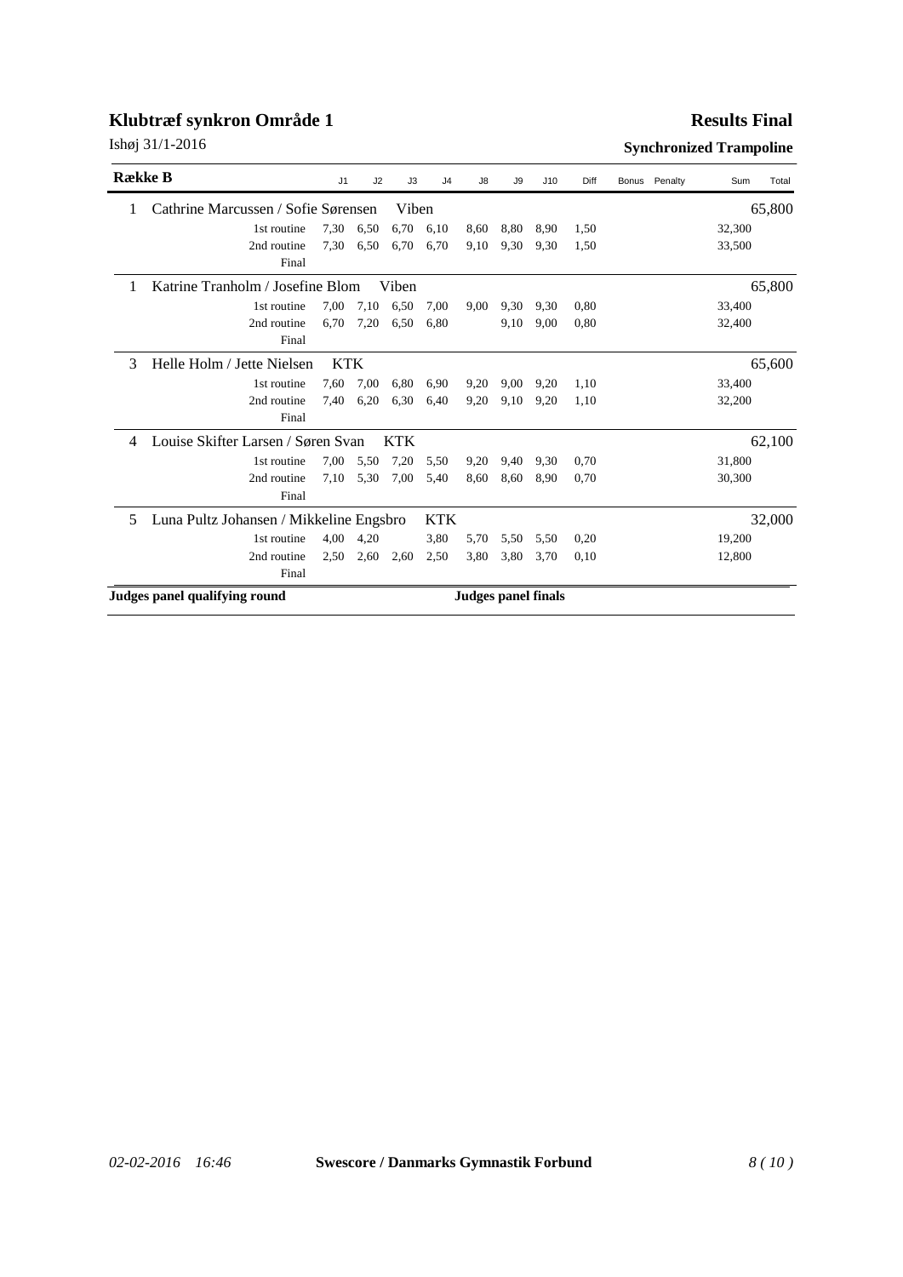### **Results Final**

| <b>R</b> ække B |                                         | J1         | J2                  | J3         | J <sub>4</sub> | J8   | J9   | J10  | Diff | Bonus Penalty | Sum    | Total  |
|-----------------|-----------------------------------------|------------|---------------------|------------|----------------|------|------|------|------|---------------|--------|--------|
| 1               | Cathrine Marcussen / Sofie Sørensen     |            |                     | Viben      |                |      |      |      |      |               |        | 65,800 |
|                 | 1st routine                             | 7,30       | 6,50                | 6,70       | 6,10           | 8,60 | 8,80 | 8,90 | 1,50 |               | 32,300 |        |
|                 | 2nd routine                             | 7,30       | 6,50                | 6,70       | 6,70           | 9,10 | 9,30 | 9,30 | 1,50 |               | 33,500 |        |
|                 | Final                                   |            |                     |            |                |      |      |      |      |               |        |        |
| 1               | Katrine Tranholm / Josefine Blom        |            |                     | Viben      |                |      |      |      |      |               |        | 65,800 |
|                 | 1st routine                             | 7,00       | 7,10                | 6,50       | 7,00           | 9,00 | 9,30 | 9,30 | 0.80 |               | 33,400 |        |
|                 | 2nd routine                             | 6.70       | 7,20                | 6,50       | 6.80           |      | 9.10 | 9.00 | 0.80 |               | 32,400 |        |
|                 | Final                                   |            |                     |            |                |      |      |      |      |               |        |        |
| 3               | Helle Holm / Jette Nielsen              | <b>KTK</b> |                     |            |                |      |      |      |      |               |        | 65,600 |
|                 | 1st routine                             | 7,60       | 7,00                | 6,80       | 6,90           | 9,20 | 9,00 | 9,20 | 1,10 |               | 33,400 |        |
|                 | 2nd routine                             | 7,40       | 6,20                | 6.30       | 6,40           | 9,20 | 9,10 | 9,20 | 1,10 |               | 32,200 |        |
|                 | Final                                   |            |                     |            |                |      |      |      |      |               |        |        |
| 4               | Louise Skifter Larsen / Søren Svan      |            |                     | <b>KTK</b> |                |      |      |      |      |               |        | 62,100 |
|                 | 1st routine                             | 7,00       | 5,50                | 7,20       | 5,50           | 9,20 | 9,40 | 9,30 | 0.70 |               | 31,800 |        |
|                 | 2nd routine                             | 7,10       | 5,30                | 7,00       | 5,40           | 8,60 | 8,60 | 8,90 | 0,70 |               | 30,300 |        |
|                 | Final                                   |            |                     |            |                |      |      |      |      |               |        |        |
| 5               | Luna Pultz Johansen / Mikkeline Engsbro |            |                     |            | <b>KTK</b>     |      |      |      |      |               |        | 32,000 |
|                 | 1st routine                             | 4,00       | 4,20                |            | 3,80           | 5,70 | 5,50 | 5,50 | 0,20 |               | 19,200 |        |
|                 | 2nd routine                             | 2,50       | 2,60                | 2,60       | 2,50           | 3,80 | 3,80 | 3,70 | 0,10 |               | 12,800 |        |
|                 | Final                                   |            |                     |            |                |      |      |      |      |               |        |        |
|                 | Judges panel qualifying round           |            | Judges panel finals |            |                |      |      |      |      |               |        |        |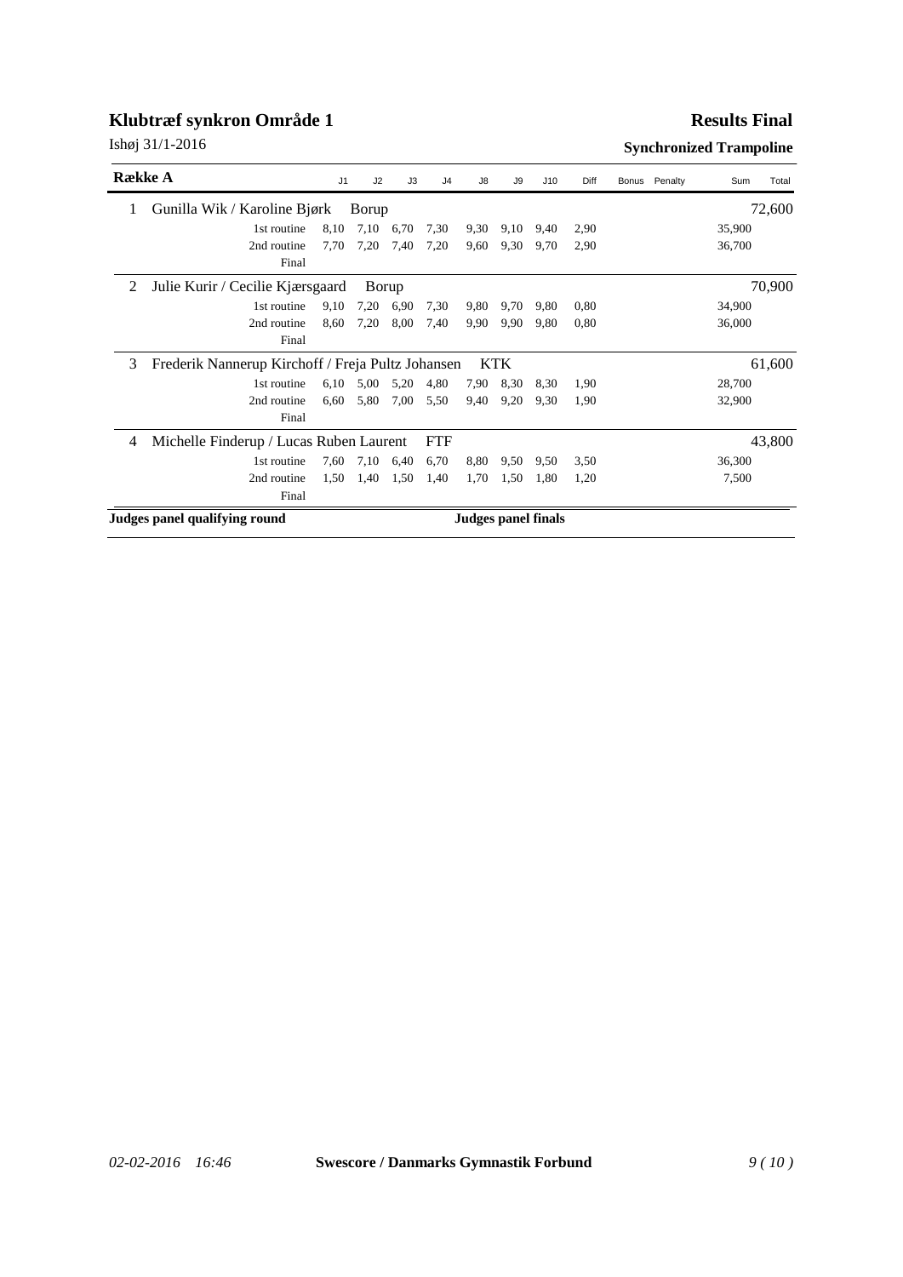#### **Results Final**

| <b>Række A</b> |                                                   | J1   | J2    | J3   | J <sub>4</sub> | J8                  | J9         | J10  | Diff | Bonus | Penalty | Sum    | Total  |
|----------------|---------------------------------------------------|------|-------|------|----------------|---------------------|------------|------|------|-------|---------|--------|--------|
| 1              | Gunilla Wik / Karoline Bjørk                      |      | Borup |      |                |                     |            |      |      |       |         |        | 72,600 |
|                | 1st routine                                       | 8,10 | 7,10  | 6,70 | 7,30           | 9,30                | 9,10       | 9,40 | 2,90 |       |         | 35,900 |        |
|                | 2nd routine                                       | 7,70 | 7,20  | 7,40 | 7,20           | 9,60                | 9,30       | 9,70 | 2,90 |       |         | 36,700 |        |
|                | Final                                             |      |       |      |                |                     |            |      |      |       |         |        |        |
| 2              | Julie Kurir / Cecilie Kjærsgaard                  |      | Borup |      |                |                     |            |      |      |       |         |        | 70,900 |
|                | 1st routine                                       | 9,10 | 7,20  | 6.90 | 7,30           | 9,80                | 9,70       | 9,80 | 0,80 |       |         | 34,900 |        |
|                | 2nd routine                                       | 8,60 | 7,20  | 8,00 | 7,40           | 9.90                | 9,90       | 9,80 | 0,80 |       |         | 36,000 |        |
|                | Final                                             |      |       |      |                |                     |            |      |      |       |         |        |        |
| 3              | Frederik Nannerup Kirchoff / Freja Pultz Johansen |      |       |      |                |                     | <b>KTK</b> |      |      |       |         |        | 61,600 |
|                | 1st routine                                       | 6,10 | 5,00  | 5,20 | 4,80           | 7,90                | 8,30       | 8,30 | 1,90 |       |         | 28,700 |        |
|                | 2nd routine                                       | 6,60 | 5,80  | 7,00 | 5,50           | 9,40                | 9,20       | 9,30 | 1.90 |       |         | 32,900 |        |
|                | Final                                             |      |       |      |                |                     |            |      |      |       |         |        |        |
| 4              | Michelle Finderup / Lucas Ruben Laurent           |      |       |      | <b>FTF</b>     |                     |            |      |      |       |         |        | 43,800 |
|                | 1st routine                                       | 7,60 | 7,10  | 6,40 | 6,70           | 8,80                | 9.50       | 9,50 | 3,50 |       |         | 36,300 |        |
|                | 2nd routine                                       | 1,50 | 1,40  | 1,50 | 1,40           | 1,70                | 1,50       | 1,80 | 1,20 |       |         | 7,500  |        |
|                | Final                                             |      |       |      |                |                     |            |      |      |       |         |        |        |
|                | Judges panel qualifying round                     |      |       |      |                | Judges panel finals |            |      |      |       |         |        |        |